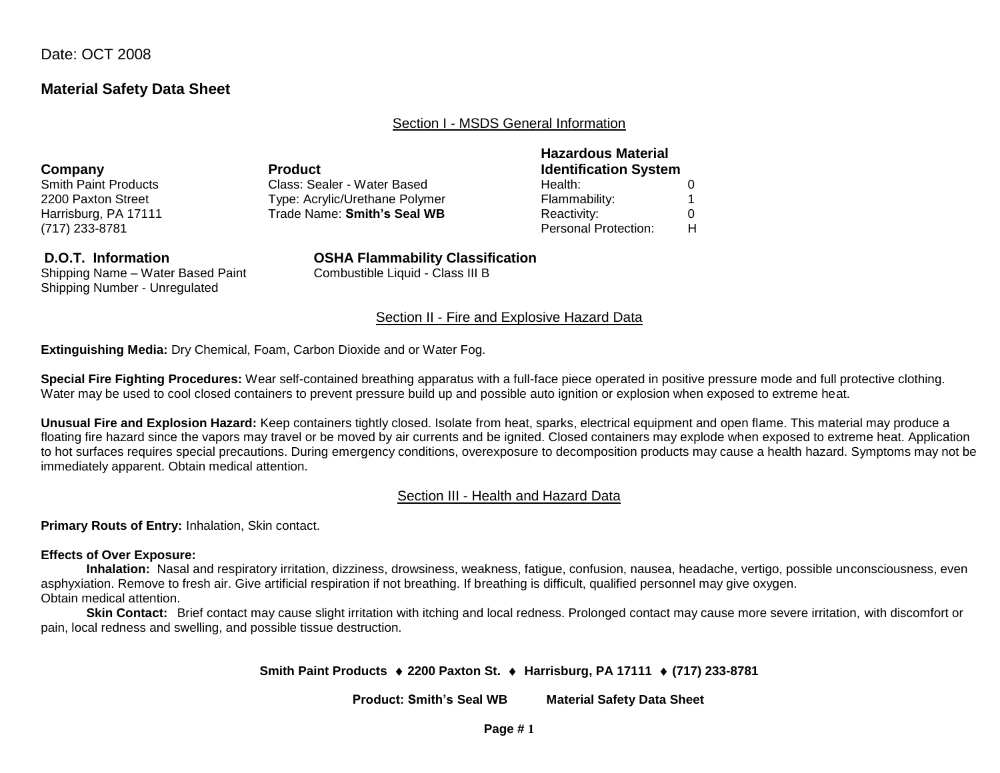Date: OCT 2008

## **Material Safety Data Sheet**

Section I - MSDS General Information

| Company                     | <b>Product</b>                 | <b>Hazardous Material</b><br><b>Identification System</b> |  |  |  |  |
|-----------------------------|--------------------------------|-----------------------------------------------------------|--|--|--|--|
| <b>Smith Paint Products</b> | Class: Sealer - Water Based    | Health:                                                   |  |  |  |  |
| 2200 Paxton Street          | Type: Acrylic/Urethane Polymer | Flammability:                                             |  |  |  |  |
| Harrisburg, PA 17111        | Trade Name: Smith's Seal WB    | Reactivity:                                               |  |  |  |  |
| (717) 233-8781              |                                | <b>Personal Protection:</b>                               |  |  |  |  |

Shipping Name – Water Based Paint Combustible Liquid - Class III B Shipping Number - Unregulated

**D.O.T. Information OSHA Flammability Classification**

#### Section II - Fire and Explosive Hazard Data

**Extinguishing Media:** Dry Chemical, Foam, Carbon Dioxide and or Water Fog.

**Special Fire Fighting Procedures:** Wear self-contained breathing apparatus with a full-face piece operated in positive pressure mode and full protective clothing. Water may be used to cool closed containers to prevent pressure build up and possible auto ignition or explosion when exposed to extreme heat.

**Unusual Fire and Explosion Hazard:** Keep containers tightly closed. Isolate from heat, sparks, electrical equipment and open flame. This material may produce a floating fire hazard since the vapors may travel or be moved by air currents and be ignited. Closed containers may explode when exposed to extreme heat. Application to hot surfaces requires special precautions. During emergency conditions, overexposure to decomposition products may cause a health hazard. Symptoms may not be immediately apparent. Obtain medical attention.

### Section III - Health and Hazard Data

**Primary Routs of Entry:** Inhalation, Skin contact.

#### **Effects of Over Exposure:**

**Inhalation:** Nasal and respiratory irritation, dizziness, drowsiness, weakness, fatigue, confusion, nausea, headache, vertigo, possible unconsciousness, even asphyxiation. Remove to fresh air. Give artificial respiration if not breathing. If breathing is difficult, qualified personnel may give oxygen. Obtain medical attention.

**Skin Contact:** Brief contact may cause slight irritation with itching and local redness. Prolonged contact may cause more severe irritation, with discomfort or pain, local redness and swelling, and possible tissue destruction.

#### **Smith Paint Products 2200 Paxton St. Harrisburg, PA 17111 (717) 233-8781**

**Product: Smith's Seal WB Material Safety Data Sheet**

#### **Page # 1**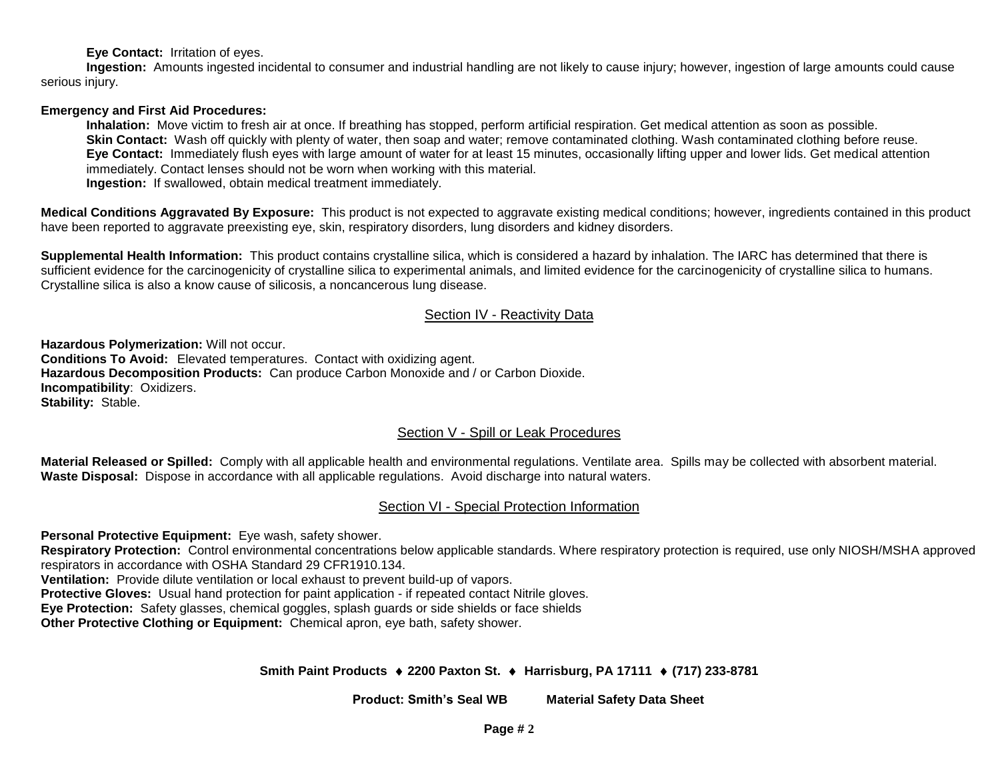**Eye Contact:** Irritation of eyes.

**Ingestion:** Amounts ingested incidental to consumer and industrial handling are not likely to cause injury; however, ingestion of large amounts could cause serious injury.

### **Emergency and First Aid Procedures:**

**Inhalation:** Move victim to fresh air at once. If breathing has stopped, perform artificial respiration. Get medical attention as soon as possible. **Skin Contact:** Wash off quickly with plenty of water, then soap and water; remove contaminated clothing. Wash contaminated clothing before reuse. **Eye Contact:** Immediately flush eyes with large amount of water for at least 15 minutes, occasionally lifting upper and lower lids. Get medical attention immediately. Contact lenses should not be worn when working with this material.

**Ingestion:** If swallowed, obtain medical treatment immediately.

**Medical Conditions Aggravated By Exposure:** This product is not expected to aggravate existing medical conditions; however, ingredients contained in this product have been reported to aggravate preexisting eye, skin, respiratory disorders, lung disorders and kidney disorders.

**Supplemental Health Information:** This product contains crystalline silica, which is considered a hazard by inhalation. The IARC has determined that there is sufficient evidence for the carcinogenicity of crystalline silica to experimental animals, and limited evidence for the carcinogenicity of crystalline silica to humans. Crystalline silica is also a know cause of silicosis, a noncancerous lung disease.

### Section IV - Reactivity Data

**Hazardous Polymerization:** Will not occur. **Conditions To Avoid:** Elevated temperatures. Contact with oxidizing agent. **Hazardous Decomposition Products:** Can produce Carbon Monoxide and / or Carbon Dioxide. **Incompatibility**:Oxidizers. **Stability:** Stable.

### Section V - Spill or Leak Procedures

**Material Released or Spilled:** Comply with all applicable health and environmental regulations. Ventilate area. Spills may be collected with absorbent material. **Waste Disposal:** Dispose in accordance with all applicable regulations. Avoid discharge into natural waters.

### Section VI - Special Protection Information

**Personal Protective Equipment:** Eye wash, safety shower.

**Respiratory Protection:** Control environmental concentrations below applicable standards. Where respiratory protection is required, use only NIOSH/MSHA approved respirators in accordance with OSHA Standard 29 CFR1910.134.

**Ventilation:** Provide dilute ventilation or local exhaust to prevent build-up of vapors.

**Protective Gloves:** Usual hand protection for paint application - if repeated contact Nitrile gloves.

**Eye Protection:** Safety glasses, chemical goggles, splash guards or side shields or face shields

**Other Protective Clothing or Equipment:** Chemical apron, eye bath, safety shower.

### **Smith Paint Products 2200 Paxton St. Harrisburg, PA 17111 (717) 233-8781**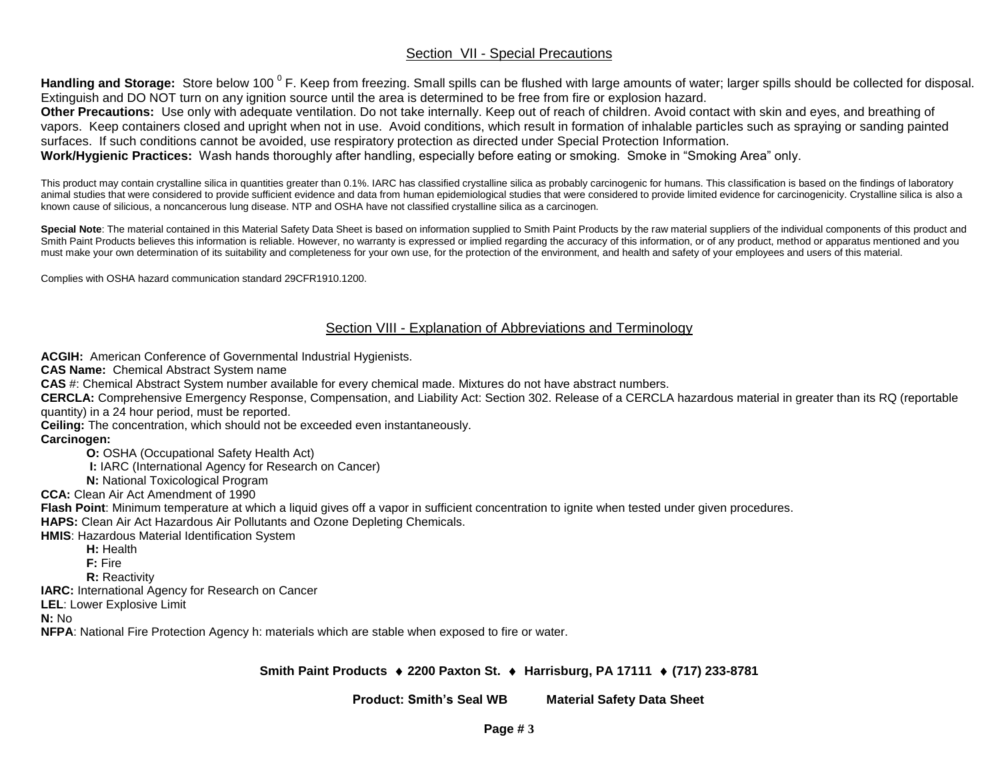## Section VII - Special Precautions

Handling and Storage: Store below 100<sup>°</sup>F. Keep from freezing. Small spills can be flushed with large amounts of water; larger spills should be collected for disposal. Extinguish and DO NOT turn on any ignition source until the area is determined to be free from fire or explosion hazard.

**Other Precautions:** Use only with adequate ventilation. Do not take internally. Keep out of reach of children. Avoid contact with skin and eyes, and breathing of vapors. Keep containers closed and upright when not in use. Avoid conditions, which result in formation of inhalable particles such as spraying or sanding painted surfaces. If such conditions cannot be avoided, use respiratory protection as directed under Special Protection Information.

**Work/Hygienic Practices:** Wash hands thoroughly after handling, especially before eating or smoking. Smoke in "Smoking Area" only.

This product may contain crystalline silica in quantities greater than 0.1%. IARC has classified crystalline silica as probably carcinogenic for humans. This classification is based on the findings of laboratory animal studies that were considered to provide sufficient evidence and data from human epidemiological studies that were considered to provide limited evidence for carcinogenicity. Crystalline silica is also a known cause of silicious, a noncancerous lung disease. NTP and OSHA have not classified crystalline silica as a carcinogen.

Special Note: The material contained in this Material Safety Data Sheet is based on information supplied to Smith Paint Products by the raw material suppliers of the individual components of this product and Smith Paint Products believes this information is reliable. However, no warranty is expressed or implied regarding the accuracy of this information, or of any product, method or apparatus mentioned and you must make your own determination of its suitability and completeness for your own use, for the protection of the environment, and health and safety of your employees and users of this material.

Complies with OSHA hazard communication standard 29CFR1910.1200.

### Section VIII - Explanation of Abbreviations and Terminology

**ACGIH:** American Conference of Governmental Industrial Hygienists.

**CAS Name:** Chemical Abstract System name

**CAS** #: Chemical Abstract System number available for every chemical made. Mixtures do not have abstract numbers.

**CERCLA:** Comprehensive Emergency Response, Compensation, and Liability Act: Section 302. Release of a CERCLA hazardous material in greater than its RQ (reportable quantity) in a 24 hour period, must be reported.

**Ceiling:** The concentration, which should not be exceeded even instantaneously.

### **Carcinogen:**

**O:** OSHA (Occupational Safety Health Act)

**I:** IARC (International Agency for Research on Cancer)

**N:** National Toxicological Program

**CCA:** Clean Air Act Amendment of 1990

**Flash Point**: Minimum temperature at which a liquid gives off a vapor in sufficient concentration to ignite when tested under given procedures.

**HAPS:** Clean Air Act Hazardous Air Pollutants and Ozone Depleting Chemicals.

**HMIS**: Hazardous Material Identification System

**H:** Health

**F:** Fire

**R:** Reactivity

**IARC:** International Agency for Research on Cancer

**LEL**: Lower Explosive Limit

**N:** No

**NFPA**: National Fire Protection Agency h: materials which are stable when exposed to fire or water.

### **Smith Paint Products 2200 Paxton St. Harrisburg, PA 17111 (717) 233-8781**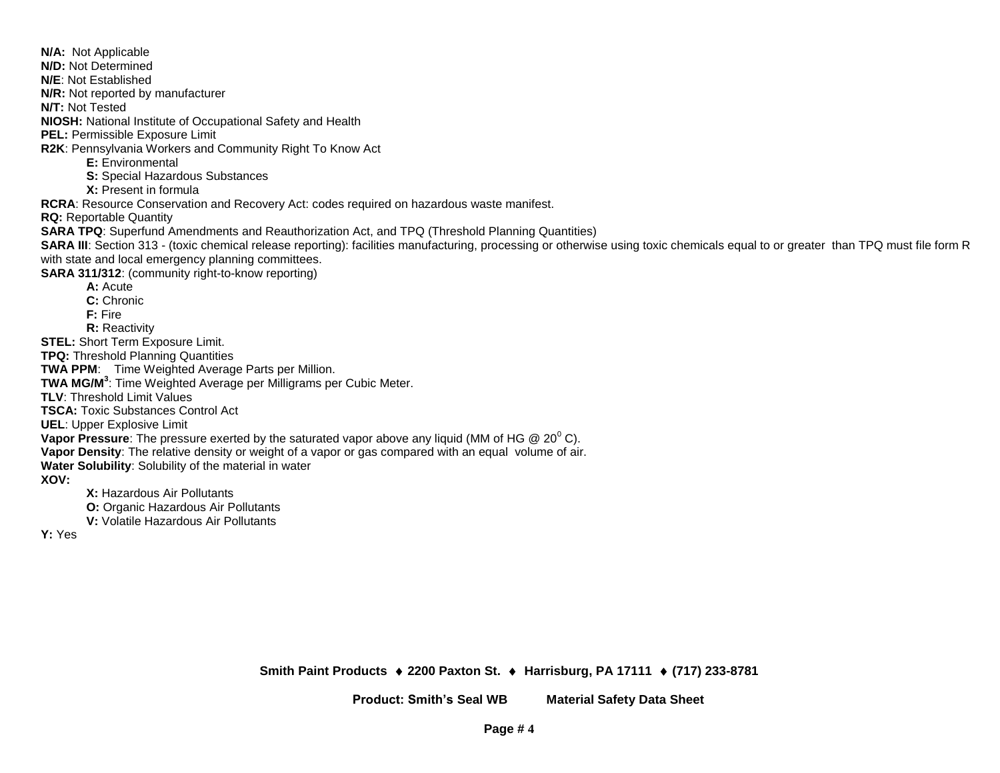**N/A:** Not Applicable **N/D:** Not Determined **N/E**: Not Established **N/R:** Not reported by manufacturer **N/T:** Not Tested **NIOSH:** National Institute of Occupational Safety and Health **PEL:** Permissible Exposure Limit **R2K**: Pennsylvania Workers and Community Right To Know Act **E:** Environmental **S:** Special Hazardous Substances **X:** Present in formula **RCRA**: Resource Conservation and Recovery Act: codes required on hazardous waste manifest. **RQ:** Reportable Quantity **SARA TPQ**: Superfund Amendments and Reauthorization Act, and TPQ (Threshold Planning Quantities) SARA III: Section 313 - (toxic chemical release reporting): facilities manufacturing, processing or otherwise using toxic chemicals equal to or greater than TPQ must file form R with state and local emergency planning committees. **SARA 311/312**: (community right-to-know reporting) **A:** Acute **C:** Chronic **F:** Fire **R:** Reactivity **STEL:** Short Term Exposure Limit. **TPQ:** Threshold Planning Quantities **TWA PPM**: Time Weighted Average Parts per Million. **TWA MG/M<sup>3</sup>** : Time Weighted Average per Milligrams per Cubic Meter. **TLV**: Threshold Limit Values **TSCA:** Toxic Substances Control Act **UEL**: Upper Explosive Limit **Vapor Pressure**: The pressure exerted by the saturated vapor above any liquid (MM of HG @ 20<sup>°</sup> C). **Vapor Density**: The relative density or weight of a vapor or gas compared with an equal volume of air. **Water Solubility**: Solubility of the material in water **XOV: X:** Hazardous Air Pollutants **O:** Organic Hazardous Air Pollutants **V:** Volatile Hazardous Air Pollutants

**Y:** Yes

**Smith Paint Products 2200 Paxton St. Harrisburg, PA 17111 (717) 233-8781**